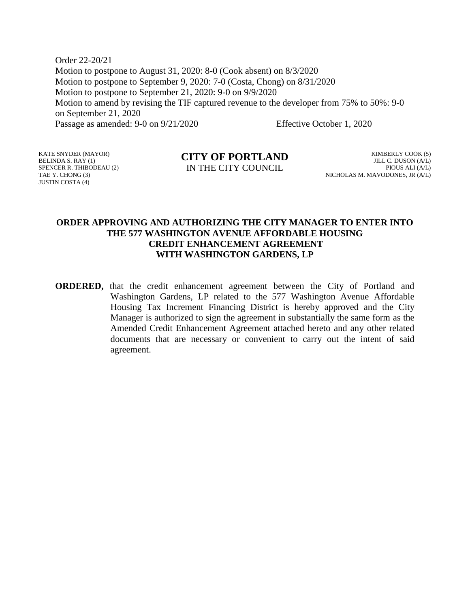Order 22-20/21 Motion to postpone to August 31, 2020: 8-0 (Cook absent) on 8/3/2020 Motion to postpone to September 9, 2020: 7-0 (Costa, Chong) on 8/31/2020 Motion to postpone to September 21, 2020: 9-0 on 9/9/2020 Motion to amend by revising the TIF captured revenue to the developer from 75% to 50%: 9-0 on September 21, 2020 Passage as amended: 9-0 on 9/21/2020 Effective October 1, 2020

KATE SNYDER (MAYOR) BELINDA S. RAY (1) SPENCER R. THIBODEAU (2) TAE Y. CHONG (3) JUSTIN COSTA (4)

#### **CITY OF PORTLAND** IN THE CITY COUNCIL

KIMBERLY COOK (5) JILL C. DUSON (A/L) PIOUS ALI (A/L) NICHOLAS M. MAVODONES, JR (A/L)

#### **ORDER APPROVING AND AUTHORIZING THE CITY MANAGER TO ENTER INTO THE 577 WASHINGTON AVENUE AFFORDABLE HOUSING CREDIT ENHANCEMENT AGREEMENT WITH WASHINGTON GARDENS, LP**

**ORDERED,** that the credit enhancement agreement between the City of Portland and Washington Gardens, LP related to the 577 Washington Avenue Affordable Housing Tax Increment Financing District is hereby approved and the City Manager is authorized to sign the agreement in substantially the same form as the Amended Credit Enhancement Agreement attached hereto and any other related documents that are necessary or convenient to carry out the intent of said agreement.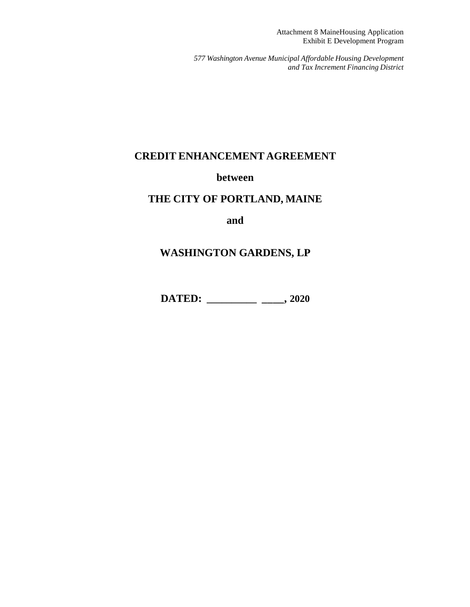Attachment 8 MaineHousing Application Exhibit E Development Program

*577 Washington Avenue Municipal Affordable Housing Development and Tax Increment Financing District*

## **CREDIT ENHANCEMENT AGREEMENT**

#### **between**

## **THE CITY OF PORTLAND, MAINE**

**and**

# **WASHINGTON GARDENS, LP**

**DATED: \_\_\_\_\_\_\_\_\_\_ \_\_\_\_, 2020**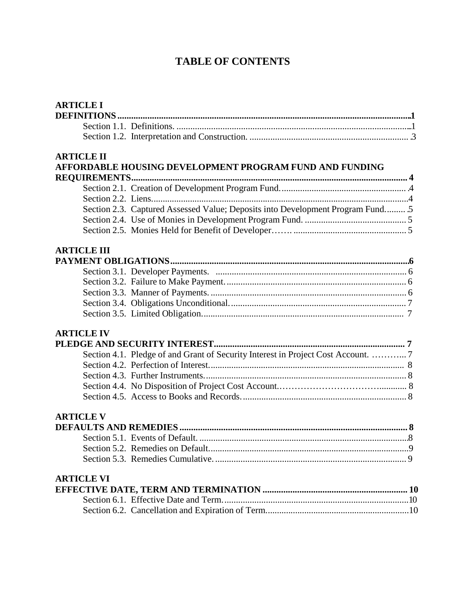# **TABLE OF CONTENTS**

| <b>ARTICLE I</b>    |                                                                                   |
|---------------------|-----------------------------------------------------------------------------------|
|                     |                                                                                   |
|                     |                                                                                   |
|                     |                                                                                   |
| <b>ARTICLE II</b>   |                                                                                   |
|                     | AFFORDABLE HOUSING DEVELOPMENT PROGRAM FUND AND FUNDING                           |
| <b>REQUIREMENTS</b> |                                                                                   |
|                     |                                                                                   |
|                     |                                                                                   |
|                     | Section 2.3. Captured Assessed Value; Deposits into Development Program Fund 5    |
|                     |                                                                                   |
|                     |                                                                                   |
| <b>ARTICLE III</b>  |                                                                                   |
|                     |                                                                                   |
|                     |                                                                                   |
|                     |                                                                                   |
|                     |                                                                                   |
|                     |                                                                                   |
|                     |                                                                                   |
| <b>ARTICLE IV</b>   |                                                                                   |
|                     |                                                                                   |
|                     | Section 4.1. Pledge of and Grant of Security Interest in Project Cost Account.  7 |
|                     |                                                                                   |
|                     |                                                                                   |
|                     |                                                                                   |
|                     |                                                                                   |
| <b>ARTICLE V</b>    |                                                                                   |
|                     |                                                                                   |
|                     |                                                                                   |
|                     |                                                                                   |
|                     |                                                                                   |
| <b>ARTICLE VI</b>   |                                                                                   |
|                     |                                                                                   |
|                     |                                                                                   |
|                     |                                                                                   |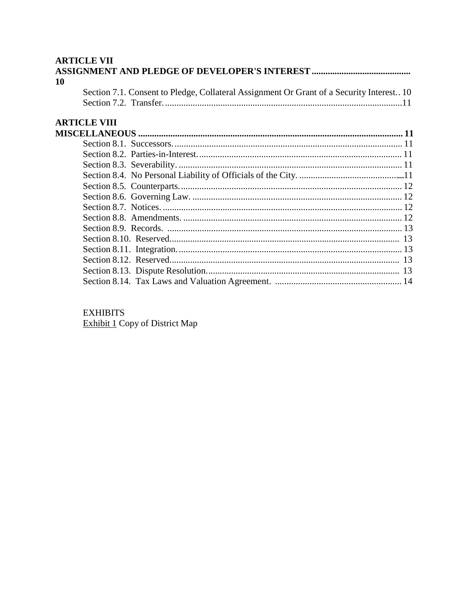## **ARTICLE VII**

| 10                                                                                        |  |
|-------------------------------------------------------------------------------------------|--|
| Section 7.1. Consent to Pledge, Collateral Assignment Or Grant of a Security Interest. 10 |  |
|                                                                                           |  |
| <b>ARTICLE VIII</b>                                                                       |  |
|                                                                                           |  |
|                                                                                           |  |
|                                                                                           |  |
|                                                                                           |  |
|                                                                                           |  |
|                                                                                           |  |
|                                                                                           |  |
|                                                                                           |  |
|                                                                                           |  |
|                                                                                           |  |
|                                                                                           |  |
|                                                                                           |  |
|                                                                                           |  |
|                                                                                           |  |
|                                                                                           |  |

# **EXHIBITS**

**Exhibit 1** Copy of District Map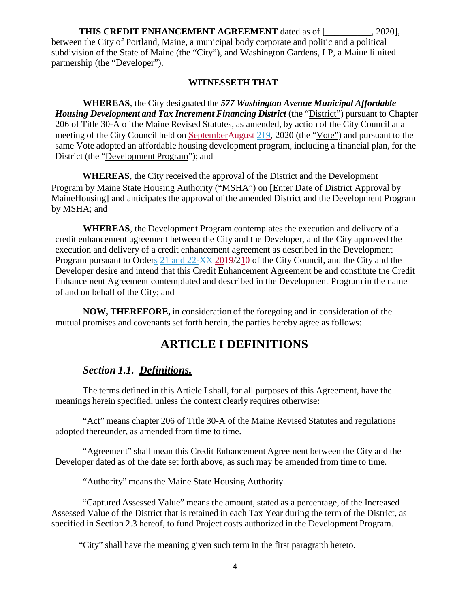**THIS CREDIT ENHANCEMENT AGREEMENT** dated as of [  $.2020$ ], between the City of Portland, Maine, a municipal body corporate and politic and a political subdivision of the State of Maine (the "City"), and Washington Gardens, LP, a Maine limited partnership (the "Developer").

#### **WITNESSETH THAT**

**WHEREAS**, the City designated the *577 Washington Avenue Municipal Affordable Housing Development and Tax Increment Financing District* (the "District") pursuant to Chapter 206 of Title 30-A of the Maine Revised Statutes, as amended, by action of the City Council at a meeting of the City Council held on SeptemberAugust 219, 2020 (the "Vote") and pursuant to the same Vote adopted an affordable housing development program, including a financial plan, for the District (the "Development Program"); and

**WHEREAS**, the City received the approval of the District and the Development Program by Maine State Housing Authority ("MSHA") on [Enter Date of District Approval by MaineHousing] and anticipates the approval of the amended District and the Development Program by MSHA; and

**WHEREAS**, the Development Program contemplates the execution and delivery of a credit enhancement agreement between the City and the Developer, and the City approved the execution and delivery of a credit enhancement agreement as described in the Development Program pursuant to Orders 21 and 22-XX 2019/210 of the City Council, and the City and the Developer desire and intend that this Credit Enhancement Agreement be and constitute the Credit Enhancement Agreement contemplated and described in the Development Program in the name of and on behalf of the City; and

**NOW, THEREFORE,** in consideration of the foregoing and in consideration of the mutual promises and covenants set forth herein, the parties hereby agree as follows:

# **ARTICLE I DEFINITIONS**

## *Section 1.1. Definitions.*

The terms defined in this Article I shall, for all purposes of this Agreement, have the meanings herein specified, unless the context clearly requires otherwise:

"Act" means chapter 206 of Title 30-A of the Maine Revised Statutes and regulations adopted thereunder, as amended from time to time.

"Agreement" shall mean this Credit Enhancement Agreement between the City and the Developer dated as of the date set forth above, as such may be amended from time to time.

"Authority" means the Maine State Housing Authority.

"Captured Assessed Value" means the amount, stated as a percentage, of the Increased Assessed Value of the District that is retained in each Tax Year during the term of the District, as specified in Section 2.3 hereof, to fund Project costs authorized in the Development Program.

"City" shall have the meaning given such term in the first paragraph hereto.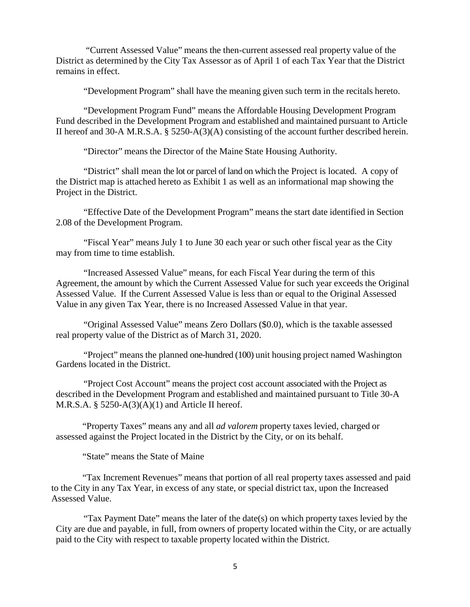"Current Assessed Value" means the then-current assessed real property value of the District as determined by the City Tax Assessor as of April 1 of each Tax Year that the District remains in effect.

"Development Program" shall have the meaning given such term in the recitals hereto.

"Development Program Fund" means the Affordable Housing Development Program Fund described in the Development Program and established and maintained pursuant to Article II hereof and 30-A M.R.S.A. § 5250-A(3)(A) consisting of the account further described herein.

"Director" means the Director of the Maine State Housing Authority.

"District" shall mean the lot or parcel of land on which the Project is located. A copy of the District map is attached hereto as Exhibit 1 as well as an informational map showing the Project in the District.

"Effective Date of the Development Program" means the start date identified in Section 2.08 of the Development Program.

"Fiscal Year" means July 1 to June 30 each year or such other fiscal year as the City may from time to time establish.

"Increased Assessed Value" means, for each Fiscal Year during the term of this Agreement, the amount by which the Current Assessed Value for such year exceeds the Original Assessed Value. If the Current Assessed Value is less than or equal to the Original Assessed Value in any given Tax Year, there is no Increased Assessed Value in that year.

"Original Assessed Value" means Zero Dollars (\$0.0), which is the taxable assessed real property value of the District as of March 31, 2020.

"Project" means the planned one-hundred (100) unit housing project named Washington Gardens located in the District.

"Project Cost Account" means the project cost account associated with the Project as described in the Development Program and established and maintained pursuant to Title 30-A M.R.S.A.  $\S$  5250-A(3)(A)(1) and Article II hereof.

"Property Taxes" means any and all *ad valorem* property taxes levied, charged or assessed against the Project located in the District by the City, or on its behalf.

"State" means the State of Maine

"Tax Increment Revenues" means that portion of all real property taxes assessed and paid to the City in any Tax Year, in excess of any state, or special district tax, upon the Increased Assessed Value.

"Tax Payment Date" means the later of the date(s) on which property taxes levied by the City are due and payable, in full, from owners of property located within the City, or are actually paid to the City with respect to taxable property located within the District.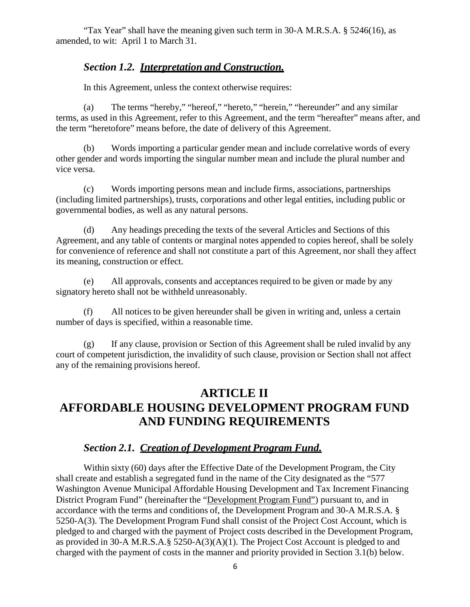"Tax Year" shall have the meaning given such term in 30-A M.R.S.A. § 5246(16), as amended, to wit: April 1 to March 31.

## *Section 1.2. Interpretation and Construction.*

In this Agreement, unless the context otherwise requires:

(a) The terms "hereby," "hereof," "hereto," "herein," "hereunder" and any similar terms, as used in this Agreement, refer to this Agreement, and the term "hereafter" means after, and the term "heretofore" means before, the date of delivery of this Agreement.

(b) Words importing a particular gender mean and include correlative words of every other gender and words importing the singular number mean and include the plural number and vice versa.

(c) Words importing persons mean and include firms, associations, partnerships (including limited partnerships), trusts, corporations and other legal entities, including public or governmental bodies, as well as any natural persons.

(d) Any headings preceding the texts of the several Articles and Sections of this Agreement, and any table of contents or marginal notes appended to copies hereof, shall be solely for convenience of reference and shall not constitute a part of this Agreement, nor shall they affect its meaning, construction or effect.

(e) All approvals, consents and acceptances required to be given or made by any signatory hereto shall not be withheld unreasonably.

(f) All notices to be given hereunder shall be given in writing and, unless a certain number of days is specified, within a reasonable time.

(g) If any clause, provision or Section of this Agreement shall be ruled invalid by any court of competent jurisdiction, the invalidity of such clause, provision or Section shall not affect any of the remaining provisions hereof.

# **ARTICLE II AFFORDABLE HOUSING DEVELOPMENT PROGRAM FUND AND FUNDING REQUIREMENTS**

## *Section 2.1. Creation of Development Program Fund.*

Within sixty (60) days after the Effective Date of the Development Program, the City shall create and establish a segregated fund in the name of the City designated as the "577 Washington Avenue Municipal Affordable Housing Development and Tax Increment Financing District Program Fund" (hereinafter the "Development Program Fund") pursuant to, and in accordance with the terms and conditions of, the Development Program and 30-A M.R.S.A. § 5250-A(3). The Development Program Fund shall consist of the Project Cost Account, which is pledged to and charged with the payment of Project costs described in the Development Program, as provided in 30-A M.R.S.A.§ 5250-A(3)(A)(1). The Project Cost Account is pledged to and charged with the payment of costs in the manner and priority provided in Section 3.1(b) below.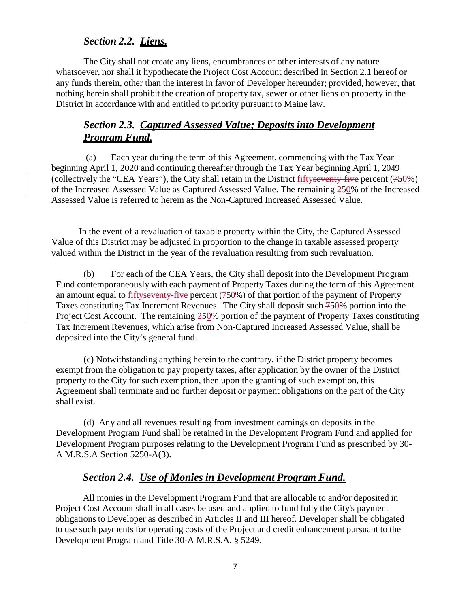## *Section 2.2. Liens.*

The City shall not create any liens, encumbrances or other interests of any nature whatsoever, nor shall it hypothecate the Project Cost Account described in Section 2.1 hereof or any funds therein, other than the interest in favor of Developer hereunder; provided, however, that nothing herein shall prohibit the creation of property tax, sewer or other liens on property in the District in accordance with and entitled to priority pursuant to Maine law.

## *Section 2.3. Captured Assessed Value; Deposits into Development Program Fund.*

(a) Each year during the term of this Agreement, commencing with the Tax Year beginning April 1, 2020 and continuing thereafter through the Tax Year beginning April 1, 2049 (collectively the "CEA Years"), the City shall retain in the District fiftyseventy-five percent (750%) of the Increased Assessed Value as Captured Assessed Value. The remaining 250% of the Increased Assessed Value is referred to herein as the Non-Captured Increased Assessed Value.

In the event of a revaluation of taxable property within the City, the Captured Assessed Value of this District may be adjusted in proportion to the change in taxable assessed property valued within the District in the year of the revaluation resulting from such revaluation.

(b) For each of the CEA Years, the City shall deposit into the Development Program Fund contemporaneously with each payment of Property Taxes during the term of this Agreement an amount equal to fiftyseventy-five percent (750%) of that portion of the payment of Property Taxes constituting Tax Increment Revenues. The City shall deposit such 750% portion into the Project Cost Account. The remaining 250% portion of the payment of Property Taxes constituting Tax Increment Revenues, which arise from Non-Captured Increased Assessed Value, shall be deposited into the City's general fund.

(c) Notwithstanding anything herein to the contrary, if the District property becomes exempt from the obligation to pay property taxes, after application by the owner of the District property to the City for such exemption, then upon the granting of such exemption, this Agreement shall terminate and no further deposit or payment obligations on the part of the City shall exist.

(d) Any and all revenues resulting from investment earnings on deposits in the Development Program Fund shall be retained in the Development Program Fund and applied for Development Program purposes relating to the Development Program Fund as prescribed by 30- A M.R.S.A Section 5250-A(3).

## *Section 2.4. Use of Monies in Development Program Fund.*

All monies in the Development Program Fund that are allocable to and/or deposited in Project Cost Account shall in all cases be used and applied to fund fully the City's payment obligations to Developer as described in Articles II and III hereof. Developer shall be obligated to use such payments for operating costs of the Project and credit enhancement pursuant to the Development Program and Title 30-A M.R.S.A. § 5249.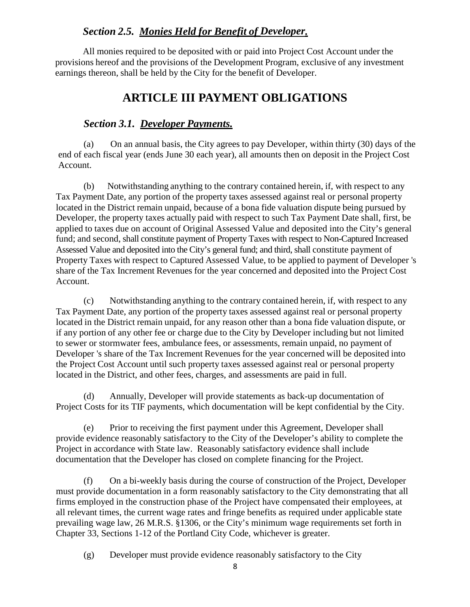## *Section 2.5. Monies Held for Benefit of Developer.*

All monies required to be deposited with or paid into Project Cost Account under the provisions hereof and the provisions of the Development Program, exclusive of any investment earnings thereon, shall be held by the City for the benefit of Developer.

# **ARTICLE III PAYMENT OBLIGATIONS**

## *Section 3.1. Developer Payments.*

(a) On an annual basis, the City agrees to pay Developer, within thirty (30) days of the end of each fiscal year (ends June 30 each year), all amounts then on deposit in the Project Cost Account.

(b) Notwithstanding anything to the contrary contained herein, if, with respect to any Tax Payment Date, any portion of the property taxes assessed against real or personal property located in the District remain unpaid, because of a bona fide valuation dispute being pursued by Developer, the property taxes actually paid with respect to such Tax Payment Date shall, first, be applied to taxes due on account of Original Assessed Value and deposited into the City's general fund; and second, shall constitute payment of Property Taxes with respect to Non-Captured Increased Assessed Value and deposited into the City's general fund; and third, shall constitute payment of Property Taxes with respect to Captured Assessed Value, to be applied to payment of Developer 's share of the Tax Increment Revenues for the year concerned and deposited into the Project Cost Account.

(c) Notwithstanding anything to the contrary contained herein, if, with respect to any Tax Payment Date, any portion of the property taxes assessed against real or personal property located in the District remain unpaid, for any reason other than a bona fide valuation dispute, or if any portion of any other fee or charge due to the City by Developer including but not limited to sewer or stormwater fees, ambulance fees, or assessments, remain unpaid, no payment of Developer 's share of the Tax Increment Revenues for the year concerned will be deposited into the Project Cost Account until such property taxes assessed against real or personal property located in the District, and other fees, charges, and assessments are paid in full.

(d) Annually, Developer will provide statements as back-up documentation of Project Costs for its TIF payments, which documentation will be kept confidential by the City.

(e) Prior to receiving the first payment under this Agreement, Developer shall provide evidence reasonably satisfactory to the City of the Developer's ability to complete the Project in accordance with State law. Reasonably satisfactory evidence shall include documentation that the Developer has closed on complete financing for the Project.

(f) On a bi-weekly basis during the course of construction of the Project, Developer must provide documentation in a form reasonably satisfactory to the City demonstrating that all firms employed in the construction phase of the Project have compensated their employees, at all relevant times, the current wage rates and fringe benefits as required under applicable state prevailing wage law, 26 M.R.S. §1306, or the City's minimum wage requirements set forth in Chapter 33, Sections 1-12 of the Portland City Code, whichever is greater.

(g) Developer must provide evidence reasonably satisfactory to the City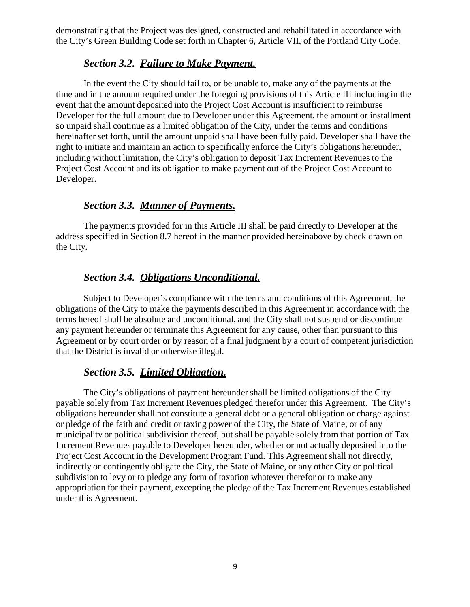demonstrating that the Project was designed, constructed and rehabilitated in accordance with the City's Green Building Code set forth in Chapter 6, Article VII, of the Portland City Code.

### *Section 3.2. Failure to Make Payment.*

In the event the City should fail to, or be unable to, make any of the payments at the time and in the amount required under the foregoing provisions of this Article III including in the event that the amount deposited into the Project Cost Account is insufficient to reimburse Developer for the full amount due to Developer under this Agreement, the amount or installment so unpaid shall continue as a limited obligation of the City, under the terms and conditions hereinafter set forth, until the amount unpaid shall have been fully paid. Developer shall have the right to initiate and maintain an action to specifically enforce the City's obligations hereunder, including without limitation, the City's obligation to deposit Tax Increment Revenues to the Project Cost Account and its obligation to make payment out of the Project Cost Account to Developer.

## *Section 3.3. Manner of Payments.*

The payments provided for in this Article III shall be paid directly to Developer at the address specified in Section 8.7 hereof in the manner provided hereinabove by check drawn on the City.

## *Section 3.4. Obligations Unconditional.*

Subject to Developer's compliance with the terms and conditions of this Agreement, the obligations of the City to make the payments described in this Agreement in accordance with the terms hereof shall be absolute and unconditional, and the City shall not suspend or discontinue any payment hereunder or terminate this Agreement for any cause, other than pursuant to this Agreement or by court order or by reason of a final judgment by a court of competent jurisdiction that the District is invalid or otherwise illegal.

### *Section 3.5. Limited Obligation.*

The City's obligations of payment hereunder shall be limited obligations of the City payable solely from Tax Increment Revenues pledged therefor under this Agreement. The City's obligations hereunder shall not constitute a general debt or a general obligation or charge against or pledge of the faith and credit or taxing power of the City, the State of Maine, or of any municipality or political subdivision thereof, but shall be payable solely from that portion of Tax Increment Revenues payable to Developer hereunder, whether or not actually deposited into the Project Cost Account in the Development Program Fund. This Agreement shall not directly, indirectly or contingently obligate the City, the State of Maine, or any other City or political subdivision to levy or to pledge any form of taxation whatever therefor or to make any appropriation for their payment, excepting the pledge of the Tax Increment Revenues established under this Agreement.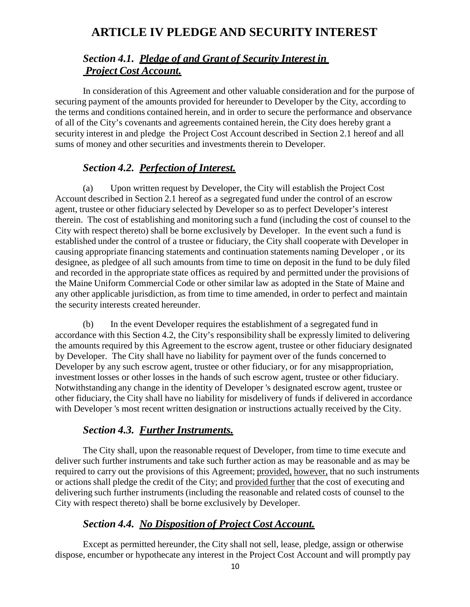# **ARTICLE IV PLEDGE AND SECURITY INTEREST**

# *Section 4.1. Pledge of and Grant of Security Interest in Project Cost Account.*

In consideration of this Agreement and other valuable consideration and for the purpose of securing payment of the amounts provided for hereunder to Developer by the City, according to the terms and conditions contained herein, and in order to secure the performance and observance of all of the City's covenants and agreements contained herein, the City does hereby grant a security interest in and pledge the Project Cost Account described in Section 2.1 hereof and all sums of money and other securities and investments therein to Developer.

# *Section 4.2. Perfection of Interest.*

(a) Upon written request by Developer, the City will establish the Project Cost Account described in Section 2.1 hereof as a segregated fund under the control of an escrow agent, trustee or other fiduciary selected by Developer so as to perfect Developer's interest therein. The cost of establishing and monitoring such a fund (including the cost of counsel to the City with respect thereto) shall be borne exclusively by Developer. In the event such a fund is established under the control of a trustee or fiduciary, the City shall cooperate with Developer in causing appropriate financing statements and continuation statements naming Developer , or its designee, as pledgee of all such amounts from time to time on deposit in the fund to be duly filed and recorded in the appropriate state offices as required by and permitted under the provisions of the Maine Uniform Commercial Code or other similar law as adopted in the State of Maine and any other applicable jurisdiction, as from time to time amended, in order to perfect and maintain the security interests created hereunder.

(b) In the event Developer requires the establishment of a segregated fund in accordance with this Section 4.2, the City's responsibility shall be expressly limited to delivering the amounts required by this Agreement to the escrow agent, trustee or other fiduciary designated by Developer. The City shall have no liability for payment over of the funds concerned to Developer by any such escrow agent, trustee or other fiduciary, or for any misappropriation, investment losses or other losses in the hands of such escrow agent, trustee or other fiduciary. Notwithstanding any change in the identity of Developer 's designated escrow agent, trustee or other fiduciary, the City shall have no liability for misdelivery of funds if delivered in accordance with Developer 's most recent written designation or instructions actually received by the City.

### *Section 4.3. Further Instruments.*

The City shall, upon the reasonable request of Developer, from time to time execute and deliver such further instruments and take such further action as may be reasonable and as may be required to carry out the provisions of this Agreement; provided, however, that no such instruments or actions shall pledge the credit of the City; and provided further that the cost of executing and delivering such further instruments (including the reasonable and related costs of counsel to the City with respect thereto) shall be borne exclusively by Developer.

# *Section 4.4. No Disposition of Project Cost Account.*

Except as permitted hereunder, the City shall not sell, lease, pledge, assign or otherwise dispose, encumber or hypothecate any interest in the Project Cost Account and will promptly pay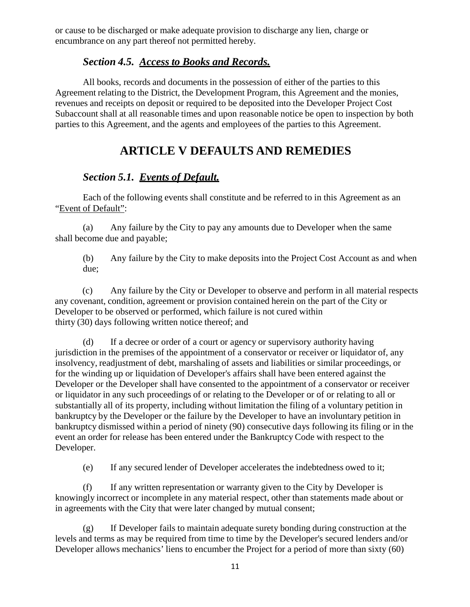or cause to be discharged or make adequate provision to discharge any lien, charge or encumbrance on any part thereof not permitted hereby.

### *Section 4.5. Access to Books and Records.*

All books, records and documents in the possession of either of the parties to this Agreement relating to the District, the Development Program, this Agreement and the monies, revenues and receipts on deposit or required to be deposited into the Developer Project Cost Subaccount shall at all reasonable times and upon reasonable notice be open to inspection by both parties to this Agreement, and the agents and employees of the parties to this Agreement.

# **ARTICLE V DEFAULTS AND REMEDIES**

## *Section 5.1. Events of Default.*

Each of the following events shall constitute and be referred to in this Agreement as an "Event of Default":

(a) Any failure by the City to pay any amounts due to Developer when the same shall become due and payable;

(b) Any failure by the City to make deposits into the Project Cost Account as and when due;

(c) Any failure by the City or Developer to observe and perform in all material respects any covenant, condition, agreement or provision contained herein on the part of the City or Developer to be observed or performed, which failure is not cured within thirty (30) days following written notice thereof; and

(d) If a decree or order of a court or agency or supervisory authority having jurisdiction in the premises of the appointment of a conservator or receiver or liquidator of, any insolvency, readjustment of debt, marshaling of assets and liabilities or similar proceedings, or for the winding up or liquidation of Developer's affairs shall have been entered against the Developer or the Developer shall have consented to the appointment of a conservator or receiver or liquidator in any such proceedings of or relating to the Developer or of or relating to all or substantially all of its property, including without limitation the filing of a voluntary petition in bankruptcy by the Developer or the failure by the Developer to have an involuntary petition in bankruptcy dismissed within a period of ninety (90) consecutive days following its filing or in the event an order for release has been entered under the Bankruptcy Code with respect to the Developer.

(e) If any secured lender of Developer accelerates the indebtedness owed to it;

(f) If any written representation or warranty given to the City by Developer is knowingly incorrect or incomplete in any material respect, other than statements made about or in agreements with the City that were later changed by mutual consent;

(g) If Developer fails to maintain adequate surety bonding during construction at the levels and terms as may be required from time to time by the Developer's secured lenders and/or Developer allows mechanics' liens to encumber the Project for a period of more than sixty (60)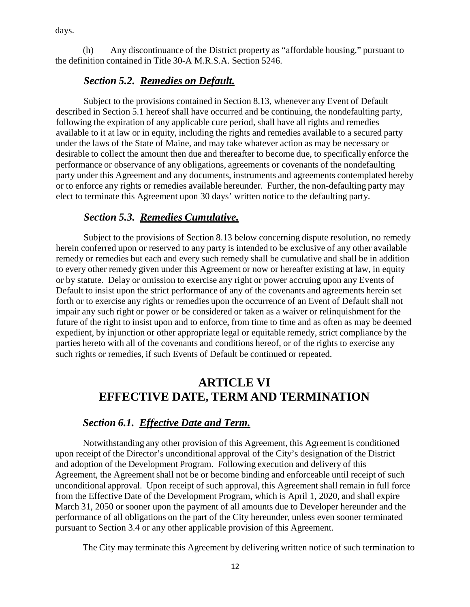days.

(h) Any discontinuance of the District property as "affordable housing," pursuant to the definition contained in Title 30-A M.R.S.A. Section 5246.

## *Section 5.2. Remedies on Default.*

Subject to the provisions contained in Section 8.13, whenever any Event of Default described in Section 5.1 hereof shall have occurred and be continuing, the nondefaulting party, following the expiration of any applicable cure period, shall have all rights and remedies available to it at law or in equity, including the rights and remedies available to a secured party under the laws of the State of Maine, and may take whatever action as may be necessary or desirable to collect the amount then due and thereafter to become due, to specifically enforce the performance or observance of any obligations, agreements or covenants of the nondefaulting party under this Agreement and any documents, instruments and agreements contemplated hereby or to enforce any rights or remedies available hereunder. Further, the non-defaulting party may elect to terminate this Agreement upon 30 days' written notice to the defaulting party.

## *Section 5.3. Remedies Cumulative.*

Subject to the provisions of Section 8.13 below concerning dispute resolution, no remedy herein conferred upon or reserved to any party is intended to be exclusive of any other available remedy or remedies but each and every such remedy shall be cumulative and shall be in addition to every other remedy given under this Agreement or now or hereafter existing at law, in equity or by statute. Delay or omission to exercise any right or power accruing upon any Events of Default to insist upon the strict performance of any of the covenants and agreements herein set forth or to exercise any rights or remedies upon the occurrence of an Event of Default shall not impair any such right or power or be considered or taken as a waiver or relinquishment for the future of the right to insist upon and to enforce, from time to time and as often as may be deemed expedient, by injunction or other appropriate legal or equitable remedy, strict compliance by the parties hereto with all of the covenants and conditions hereof, or of the rights to exercise any such rights or remedies, if such Events of Default be continued or repeated.

# **ARTICLE VI EFFECTIVE DATE, TERM AND TERMINATION**

### *Section 6.1. Effective Date and Term.*

Notwithstanding any other provision of this Agreement, this Agreement is conditioned upon receipt of the Director's unconditional approval of the City's designation of the District and adoption of the Development Program. Following execution and delivery of this Agreement, the Agreement shall not be or become binding and enforceable until receipt of such unconditional approval. Upon receipt of such approval, this Agreement shall remain in full force from the Effective Date of the Development Program, which is April 1, 2020, and shall expire March 31, 2050 or sooner upon the payment of all amounts due to Developer hereunder and the performance of all obligations on the part of the City hereunder, unless even sooner terminated pursuant to Section 3.4 or any other applicable provision of this Agreement.

The City may terminate this Agreement by delivering written notice of such termination to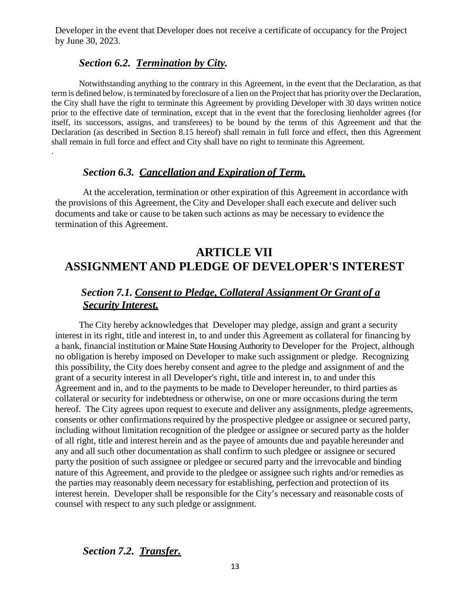Developer in the event that Developer does not receive a certificate of occupancy for the Project by June 30, 2023.

### *Section 6.2. Termination by City.*

.

Notwithstanding anything to the contrary in this Agreement, in the event that the Declaration, as that term is defined below, is terminated by foreclosure of a lien on the Project that has priority over the Declaration, the City shall have the right to terminate this Agreement by providing Developer with 30 days written notice prior to the effective date of termination, except that in the event that the foreclosing lienholder agrees (for itself, its successors, assigns, and transferees) to be bound by the terms of this Agreement and that the Declaration (as described in Section 8.15 hereof) shall remain in full force and effect, then this Agreement shall remain in full force and effect and City shall have no right to terminate this Agreement.

### *Section 6.3. Cancellation and Expiration of Term.*

At the acceleration, termination or other expiration of this Agreement in accordance with the provisions of this Agreement, the City and Developer shall each execute and deliver such documents and take or cause to be taken such actions as may be necessary to evidence the termination of this Agreement.

# **ARTICLE VII ASSIGNMENT AND PLEDGE OF DEVELOPER'S INTEREST**

# *Section 7.1. Consent to Pledge, Collateral Assignment Or Grant of a Security Interest.*

The City hereby acknowledges that Developer may pledge, assign and grant a security interest in its right, title and interest in, to and under this Agreement as collateral for financing by a bank, financial institution or Maine State Housing Authority to Developer for the Project, although no obligation is hereby imposed on Developer to make such assignment or pledge. Recognizing this possibility, the City does hereby consent and agree to the pledge and assignment of and the grant of a security interest in all Developer's right, title and interest in, to and under this Agreement and in, and to the payments to be made to Developer hereunder, to third parties as collateral or security for indebtedness or otherwise, on one or more occasions during the term hereof. The City agrees upon request to execute and deliver any assignments, pledge agreements, consents or other confirmations required by the prospective pledgee or assignee or secured party, including without limitation recognition of the pledgee or assignee or secured party as the holder of all right, title and interest herein and as the payee of amounts due and payable hereunder and any and all such other documentation as shall confirm to such pledgee or assignee or secured party the position of such assignee or pledgee or secured party and the irrevocable and binding nature of this Agreement, and provide to the pledgee or assignee such rights and/or remedies as the parties may reasonably deem necessary for establishing, perfection and protection of its interest herein. Developer shall be responsible for the City's necessary and reasonable costs of counsel with respect to any such pledge or assignment.

#### *Section 7.2. Transfer.*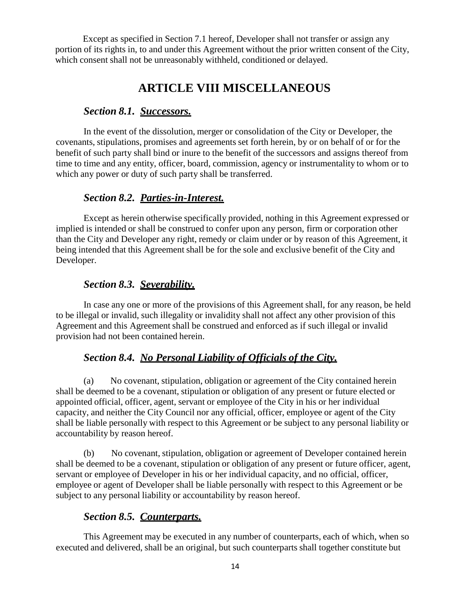Except as specified in Section 7.1 hereof, Developer shall not transfer or assign any portion of its rights in, to and under this Agreement without the prior written consent of the City, which consent shall not be unreasonably withheld, conditioned or delayed.

# **ARTICLE VIII MISCELLANEOUS**

#### *Section 8.1. Successors.*

In the event of the dissolution, merger or consolidation of the City or Developer, the covenants, stipulations, promises and agreements set forth herein, by or on behalf of or for the benefit of such party shall bind or inure to the benefit of the successors and assigns thereof from time to time and any entity, officer, board, commission, agency or instrumentality to whom or to which any power or duty of such party shall be transferred.

### *Section 8.2. Parties-in-Interest.*

Except as herein otherwise specifically provided, nothing in this Agreement expressed or implied is intended or shall be construed to confer upon any person, firm or corporation other than the City and Developer any right, remedy or claim under or by reason of this Agreement, it being intended that this Agreement shall be for the sole and exclusive benefit of the City and Developer.

#### *Section 8.3. Severability.*

In case any one or more of the provisions of this Agreement shall, for any reason, be held to be illegal or invalid, such illegality or invalidity shall not affect any other provision of this Agreement and this Agreement shall be construed and enforced as if such illegal or invalid provision had not been contained herein.

### *Section 8.4. No Personal Liability of Officials of the City.*

(a) No covenant, stipulation, obligation or agreement of the City contained herein shall be deemed to be a covenant, stipulation or obligation of any present or future elected or appointed official, officer, agent, servant or employee of the City in his or her individual capacity, and neither the City Council nor any official, officer, employee or agent of the City shall be liable personally with respect to this Agreement or be subject to any personal liability or accountability by reason hereof.

(b) No covenant, stipulation, obligation or agreement of Developer contained herein shall be deemed to be a covenant, stipulation or obligation of any present or future officer, agent, servant or employee of Developer in his or her individual capacity, and no official, officer, employee or agent of Developer shall be liable personally with respect to this Agreement or be subject to any personal liability or accountability by reason hereof.

#### *Section 8.5. Counterparts.*

This Agreement may be executed in any number of counterparts, each of which, when so executed and delivered, shall be an original, but such counterparts shall together constitute but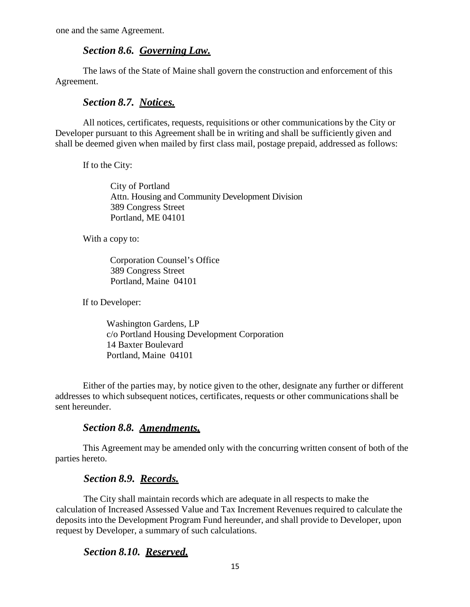one and the same Agreement.

#### *Section 8.6. Governing Law.*

The laws of the State of Maine shall govern the construction and enforcement of this Agreement.

### *Section 8.7. Notices.*

All notices, certificates, requests, requisitions or other communications by the City or Developer pursuant to this Agreement shall be in writing and shall be sufficiently given and shall be deemed given when mailed by first class mail, postage prepaid, addressed as follows:

If to the City:

City of Portland Attn. Housing and Community Development Division 389 Congress Street Portland, ME 04101

With a copy to:

Corporation Counsel's Office 389 Congress Street Portland, Maine 04101

If to Developer:

Washington Gardens, LP c/o Portland Housing Development Corporation 14 Baxter Boulevard Portland, Maine 04101

Either of the parties may, by notice given to the other, designate any further or different addresses to which subsequent notices, certificates, requests or other communications shall be sent hereunder.

#### *Section 8.8. Amendments.*

This Agreement may be amended only with the concurring written consent of both of the parties hereto.

#### *Section 8.9. Records.*

The City shall maintain records which are adequate in all respects to make the calculation of Increased Assessed Value and Tax Increment Revenues required to calculate the deposits into the Development Program Fund hereunder, and shall provide to Developer, upon request by Developer, a summary of such calculations.

#### *Section 8.10. Reserved.*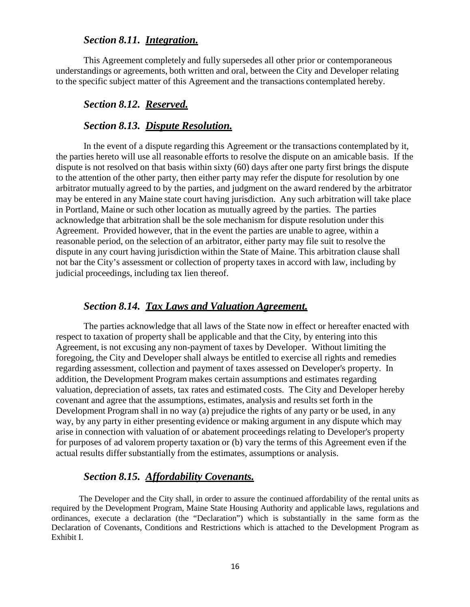#### *Section 8.11. Integration.*

This Agreement completely and fully supersedes all other prior or contemporaneous understandings or agreements, both written and oral, between the City and Developer relating to the specific subject matter of this Agreement and the transactions contemplated hereby.

#### *Section 8.12. Reserved.*

#### *Section 8.13. Dispute Resolution.*

In the event of a dispute regarding this Agreement or the transactions contemplated by it, the parties hereto will use all reasonable efforts to resolve the dispute on an amicable basis. If the dispute is not resolved on that basis within sixty (60) days after one party first brings the dispute to the attention of the other party, then either party may refer the dispute for resolution by one arbitrator mutually agreed to by the parties, and judgment on the award rendered by the arbitrator may be entered in any Maine state court having jurisdiction. Any such arbitration will take place in Portland, Maine or such other location as mutually agreed by the parties. The parties acknowledge that arbitration shall be the sole mechanism for dispute resolution under this Agreement. Provided however, that in the event the parties are unable to agree, within a reasonable period, on the selection of an arbitrator, either party may file suit to resolve the dispute in any court having jurisdiction within the State of Maine. This arbitration clause shall not bar the City's assessment or collection of property taxes in accord with law, including by judicial proceedings, including tax lien thereof.

#### *Section 8.14. Tax Laws and Valuation Agreement.*

The parties acknowledge that all laws of the State now in effect or hereafter enacted with respect to taxation of property shall be applicable and that the City, by entering into this Agreement, is not excusing any non-payment of taxes by Developer. Without limiting the foregoing, the City and Developer shall always be entitled to exercise all rights and remedies regarding assessment, collection and payment of taxes assessed on Developer's property. In addition, the Development Program makes certain assumptions and estimates regarding valuation, depreciation of assets, tax rates and estimated costs. The City and Developer hereby covenant and agree that the assumptions, estimates, analysis and results set forth in the Development Program shall in no way (a) prejudice the rights of any party or be used, in any way, by any party in either presenting evidence or making argument in any dispute which may arise in connection with valuation of or abatement proceedings relating to Developer's property for purposes of ad valorem property taxation or (b) vary the terms of this Agreement even if the actual results differ substantially from the estimates, assumptions or analysis.

#### *Section 8.15. Affordability Covenants.*

The Developer and the City shall, in order to assure the continued affordability of the rental units as required by the Development Program, Maine State Housing Authority and applicable laws, regulations and ordinances, execute a declaration (the "Declaration") which is substantially in the same form as the Declaration of Covenants, Conditions and Restrictions which is attached to the Development Program as Exhibit I.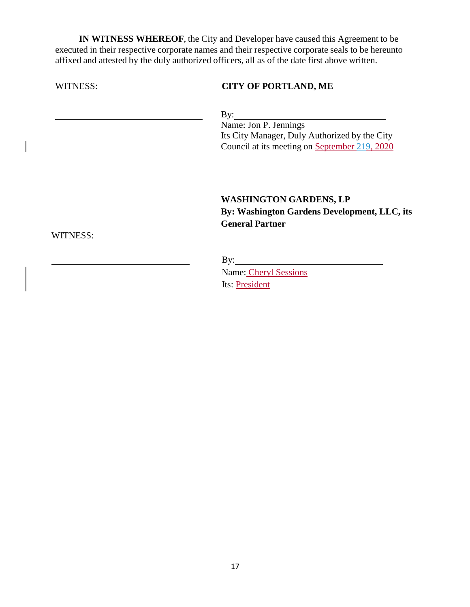**IN WITNESS WHEREOF**, the City and Developer have caused this Agreement to be executed in their respective corporate names and their respective corporate seals to be hereunto affixed and attested by the duly authorized officers, all as of the date first above written.

| WITNESS: | <b>CITY OF PORTLAND, ME</b>                   |
|----------|-----------------------------------------------|
|          | By:<br>Name: Jon P. Jennings                  |
|          | Its City Manager, Duly Authorized by the City |
|          | Council at its meeting on September 219, 2020 |
|          |                                               |
|          | <b>WASHINGTON GARDENS, LP</b>                 |
|          | By: Washington Gardens Development, LLC, its  |
|          | <b>General Partner</b>                        |
| WITNESS: |                                               |
|          |                                               |
|          | Name: Cheryl Sessions-                        |
|          | Its: President                                |

17